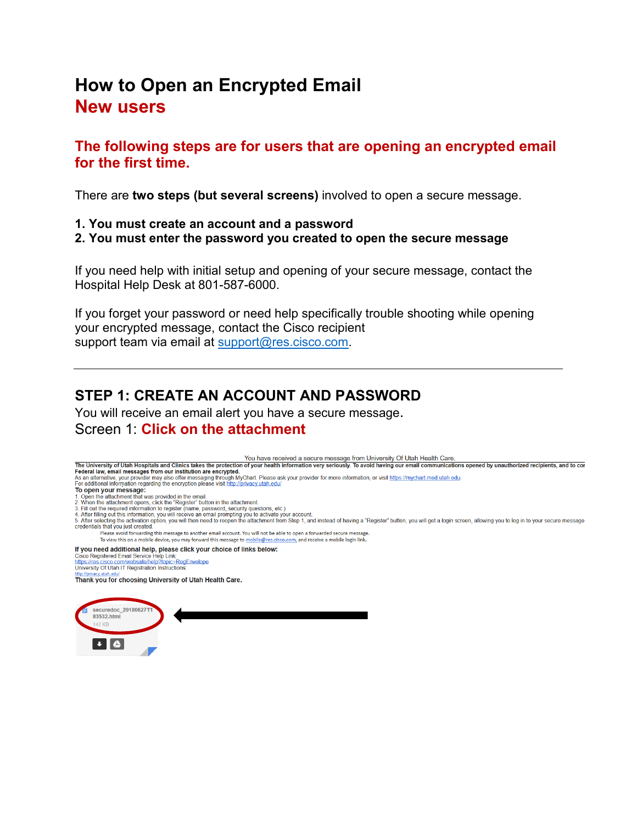# **How to Open an Encrypted Email New users**

**The following steps are for users that are opening an encrypted email for the first time.**

There are **two steps (but several screens)** involved to open a secure message.

- **1. You must create an account and a password**
- **2. You must enter the password you created to open the secure message**

If you need help with initial setup and opening of your secure message, contact the Hospital Help Desk at 801-587-6000.

If you forget your password or need help specifically trouble shooting while opening your encrypted message, contact the Cisco recipient support team via email at [support@res.cisco.com.](mailto:support@res.cisco.com)

# **STEP 1: CREATE AN ACCOUNT AND PASSWORD**

You will receive an email alert you have a secure message. Screen 1: **Click on the attachment**

You have received a secure message from University Of Utah Health Care.

The University of Utah Hospitals and Clinics takes the protection of your health information very seriously. To avoid having our email communications opened by unauthorized recipients, and to control at the University of A

- Federal law, email messages from our institution are encrypted.<br>As an alternative, your provider may also offer messaging through MyChart. Please ask your provider for more information, or visit https://mychart.med.utah.ed
- 
- 
- 
- 
- To open your message:<br>
1. Open the attachment that was provided in the email.<br>
2. When the attachment that was provided in the email.<br>
2. When the attachment opens, click the "Register" button in the attachment.<br>
3. Fill o
- 5. After selecting the activation option, you will then need to reopen the attachment from Step 1, and instead of having a "Register" button, you will get a login screen, allowing you to log in to your secure message credentials that you just created

Please avoid forwarding this message to another email account. You will not be able to open a forwarded secure message. To view this on a mobile device, you may forward this message to mobile@res.cisco.com, and receive a mobile login link

If you need additional help, please click your choice of links below:

Cisco Registered Email Service Help Link:<br>https://res.cisco.com/websafe/help?topic=RegEnvelope

University Of Utah IT Registration Instructions

Thank you for choosing University of Utah Health Care.

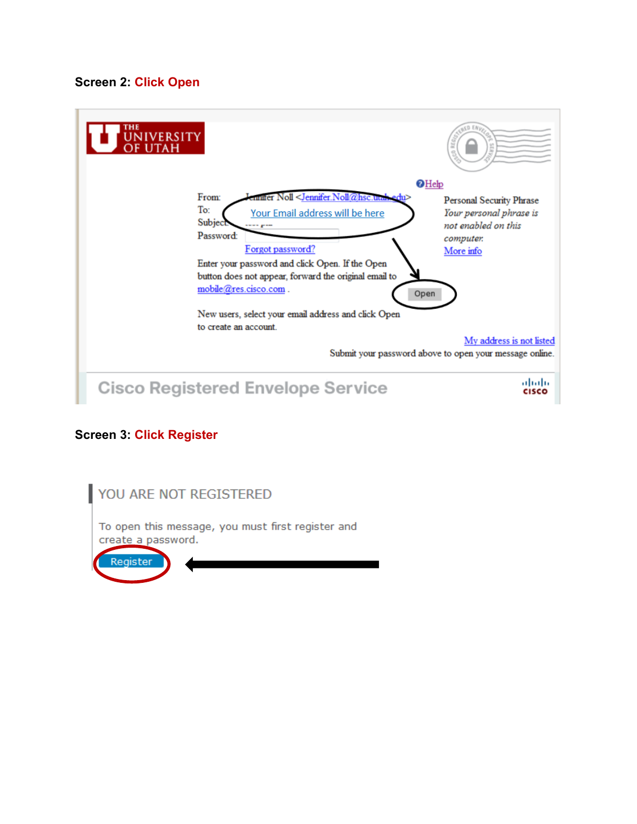#### **Screen 2: Click Open**



#### **Screen 3: Click Register**

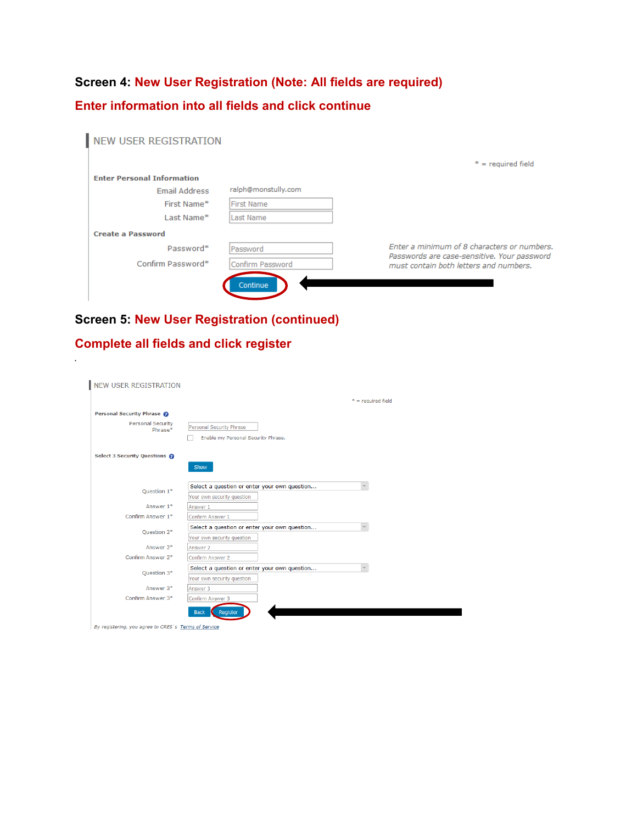# **Screen 4: New User Registration (Note: All fields are required) Enter information into all fields and click continue**

| <b>NEW USER REGISTRATION</b>      |                     |                                                                                       |
|-----------------------------------|---------------------|---------------------------------------------------------------------------------------|
|                                   |                     | $* =$ required field                                                                  |
| <b>Enter Personal Information</b> |                     |                                                                                       |
| Email Address                     | ralph@monstully.com |                                                                                       |
| First Name*                       | First Name          |                                                                                       |
| Last Name*                        | Last Name           |                                                                                       |
| <b>Create a Password</b>          |                     |                                                                                       |
| Password*                         | Password            | Enter a minimum of 8 characters or numbers.                                           |
| Confirm Password*                 | Confirm Password    | Passwords are case-sensitive. Your password<br>must contain both letters and numbers. |
|                                   | Continue            |                                                                                       |

## **Screen 5: New User Registration (continued)**

### **Complete all fields and click register**

| <b>NEW USER REGISTRATION</b>                         |                                                               |
|------------------------------------------------------|---------------------------------------------------------------|
|                                                      | $* =$ required field                                          |
| Personal Security Phrase @                           |                                                               |
| <b>Personal Security</b><br>Phrase*                  | Personal Security Phrase                                      |
|                                                      | Enable my Personal Security Phrase.                           |
| Select 3 Security Questions                          |                                                               |
|                                                      | Show                                                          |
|                                                      |                                                               |
| Ouestion 1*                                          | Select a question or enter your own question<br>$\small \vee$ |
| Answer 1*                                            | Your own security question<br>Answer 1                        |
| Confirm Answer 1*                                    | Confirm Answer 1                                              |
| Ouestion 2*                                          | Select a question or enter your own question<br>$\vee$        |
|                                                      | Your own security question                                    |
| Answer 2*                                            | Answer 2                                                      |
| Confirm Answer 2*                                    | Confirm Answer 2                                              |
| Ouestion 3*                                          | Select a question or enter your own question<br>$\checkmark$  |
|                                                      | Your own security question                                    |
| Answer 3*                                            | Answer 3                                                      |
| Confirm Answer 3*                                    | Confirm Answer 3                                              |
|                                                      | <b>Back</b><br>Register                                       |
| By registering, you agree to CRES's Terms of Service |                                                               |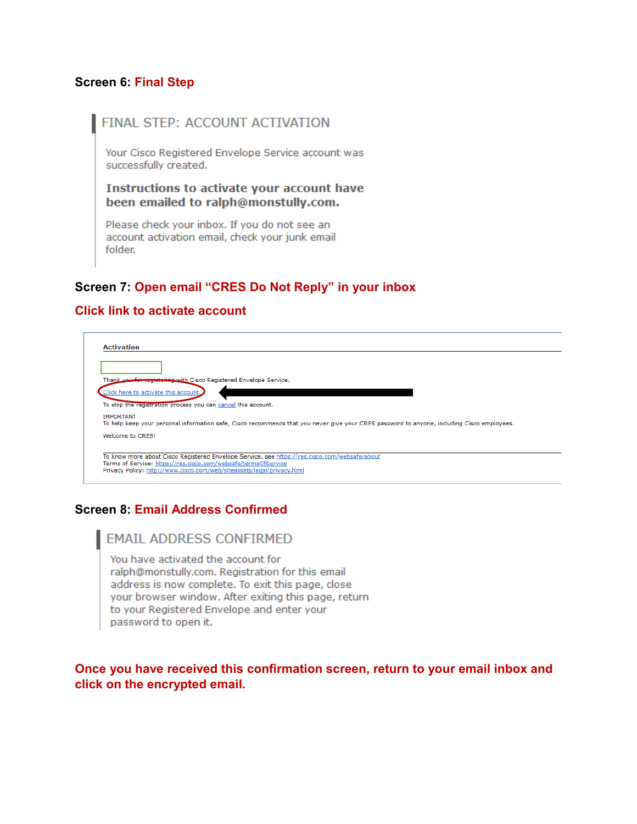#### **Screen 6: Final Step**

#### FINAL STEP: ACCOUNT ACTIVATION

Your Cisco Registered Envelope Service account was successfully created.

Instructions to activate your account have been emailed to ralph@monstully.com.

Please check your inbox. If you do not see an account activation email, check your junk email folder.

#### **Screen 7: Open email "CRES Do Not Reply" in your inbox**

#### **Click link to activate account**

| <b>Activation</b>                                                                                                                                               |  |  |
|-----------------------------------------------------------------------------------------------------------------------------------------------------------------|--|--|
|                                                                                                                                                                 |  |  |
|                                                                                                                                                                 |  |  |
| Thank you for registering with Cisco Registered Envelope Service.                                                                                               |  |  |
| Click here to activate this account.                                                                                                                            |  |  |
| To stop the registration process you can cancel this account.                                                                                                   |  |  |
| <b>IMPORTANT</b><br>To help keep your personal information safe, Cisco recommends that you never give your CRES password to anyone, including Cisco employees,  |  |  |
| Welcome to CRES!                                                                                                                                                |  |  |
|                                                                                                                                                                 |  |  |
| To know more about Cisco Registered Envelope Service, see https://res.cisco.com/websafe/about<br>Terms of Service: https://res.cisco.com/websafe/termsOfService |  |  |
| Privacy Policy: http://www.cisco.com/web/siteassets/legal/privacy.html                                                                                          |  |  |

#### **Screen 8: Email Address Confirmed**

#### **EMAIL ADDRESS CONFIRMED**

You have activated the account for ralph@monstully.com. Registration for this email address is now complete. To exit this page, close your browser window. After exiting this page, return to your Registered Envelope and enter your password to open it.

#### **Once you have received this confirmation screen, return to your email inbox and click on the encrypted email.**